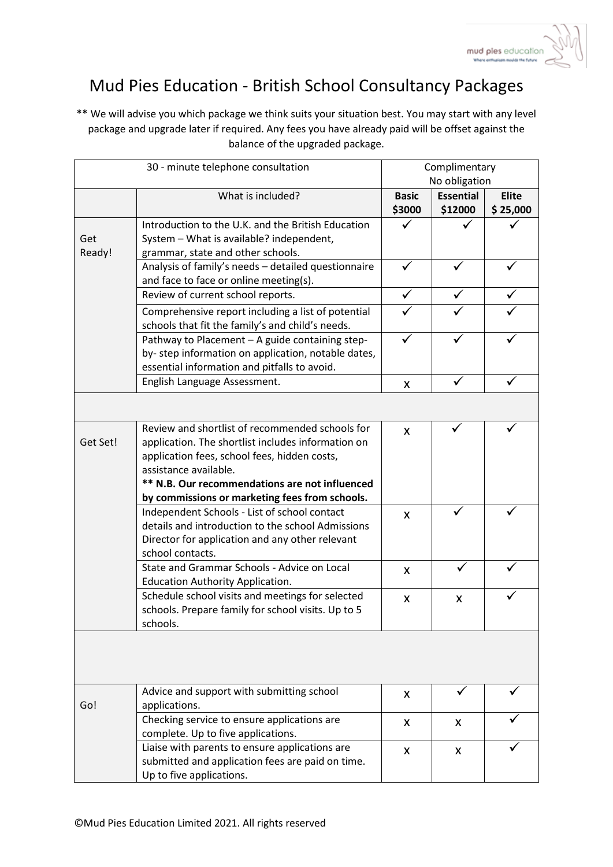

## Mud Pies Education - British School Consultancy Packages

\*\* We will advise you which package we think suits your situation best. You may start with any level package and upgrade later if required. Any fees you have already paid will be offset against the balance of the upgraded package.

| 30 - minute telephone consultation |                                                                                                                                                                                                                                                                                    | Complimentary<br>No obligation |                             |                          |
|------------------------------------|------------------------------------------------------------------------------------------------------------------------------------------------------------------------------------------------------------------------------------------------------------------------------------|--------------------------------|-----------------------------|--------------------------|
|                                    | What is included?                                                                                                                                                                                                                                                                  | <b>Basic</b><br>\$3000         | <b>Essential</b><br>\$12000 | <b>Elite</b><br>\$25,000 |
| Get<br>Ready!                      | Introduction to the U.K. and the British Education<br>System - What is available? independent,<br>grammar, state and other schools.                                                                                                                                                |                                |                             |                          |
|                                    | Analysis of family's needs - detailed questionnaire<br>and face to face or online meeting(s).                                                                                                                                                                                      | ✓                              |                             |                          |
|                                    | Review of current school reports.                                                                                                                                                                                                                                                  | ✓                              |                             |                          |
|                                    | Comprehensive report including a list of potential<br>schools that fit the family's and child's needs.                                                                                                                                                                             |                                |                             |                          |
|                                    | Pathway to Placement - A guide containing step-<br>by- step information on application, notable dates,<br>essential information and pitfalls to avoid.                                                                                                                             |                                |                             |                          |
|                                    | English Language Assessment.                                                                                                                                                                                                                                                       | X                              | ✓                           |                          |
|                                    |                                                                                                                                                                                                                                                                                    |                                |                             |                          |
| Get Set!                           | Review and shortlist of recommended schools for<br>application. The shortlist includes information on<br>application fees, school fees, hidden costs,<br>assistance available.<br>** N.B. Our recommendations are not influenced<br>by commissions or marketing fees from schools. | X                              |                             |                          |
|                                    | Independent Schools - List of school contact<br>details and introduction to the school Admissions<br>Director for application and any other relevant<br>school contacts.                                                                                                           | X                              |                             |                          |
|                                    | State and Grammar Schools - Advice on Local<br>Education Authority Application.                                                                                                                                                                                                    | X                              |                             |                          |
|                                    | Schedule school visits and meetings for selected<br>schools. Prepare family for school visits. Up to 5<br>schools.                                                                                                                                                                 | X                              | X                           |                          |
|                                    |                                                                                                                                                                                                                                                                                    |                                |                             |                          |
| Go!                                | Advice and support with submitting school<br>applications.                                                                                                                                                                                                                         | X                              |                             |                          |
|                                    | Checking service to ensure applications are<br>complete. Up to five applications.                                                                                                                                                                                                  | X                              | X                           |                          |
|                                    | Liaise with parents to ensure applications are<br>submitted and application fees are paid on time.<br>Up to five applications.                                                                                                                                                     | X                              | X                           |                          |